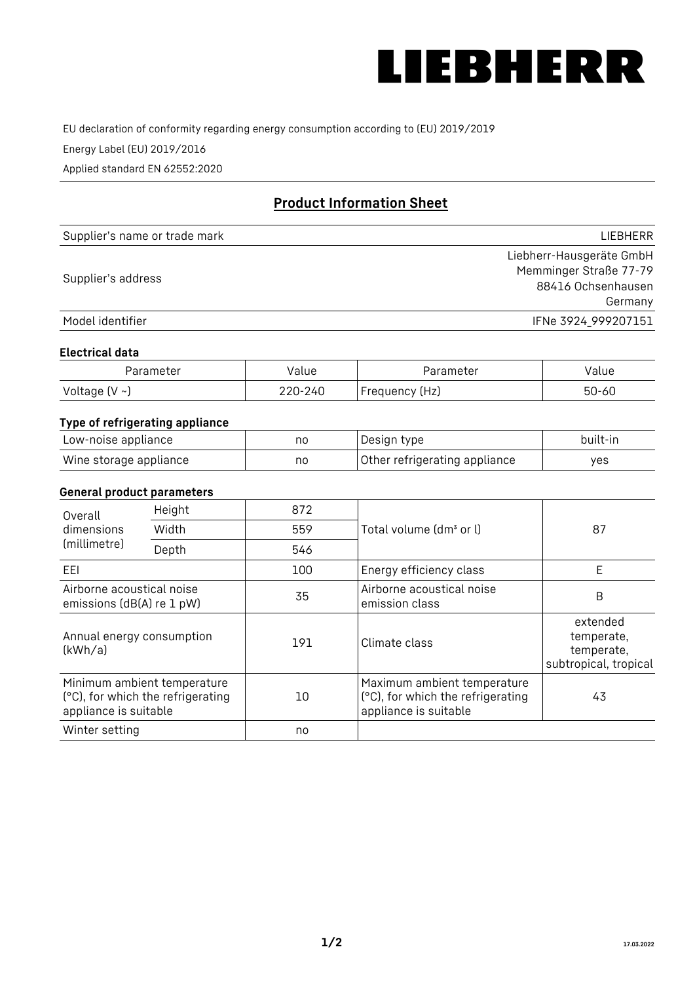

EU declaration of conformity regarding energy consumption according to (EU) 2019/2019

Energy Label (EU) 2019/2016

Applied standard EN 62552:2020

# **Product Information Sheet**

| Supplier's name or trade mark | <b>LIFBHFRR</b>          |
|-------------------------------|--------------------------|
|                               | Liebherr-Hausgeräte GmbH |
| Supplier's address            | Memminger Straße 77-79   |
|                               | 88416 Ochsenhausen       |
|                               | Germany                  |
| Model identifier              | IFNe 3924 999207151      |

## **Electrical data**

| Parameter     | Value   | Parameter      | alue/     |
|---------------|---------|----------------|-----------|
| Voltage (V ~J | 220-240 | Frequency (Hz) | $50 - 60$ |

## **Type of refrigerating appliance**

| Low-noise appliance    | no | Design type                   | built-in |
|------------------------|----|-------------------------------|----------|
| Wine storage appliance | nc | Other refrigerating appliance | ves      |

## **General product parameters**

| Height<br>Overall<br>dimensions<br>Width<br>(millimetre)<br>Depth |                                                                  | 872 |                                                                                           | 87                                                            |
|-------------------------------------------------------------------|------------------------------------------------------------------|-----|-------------------------------------------------------------------------------------------|---------------------------------------------------------------|
|                                                                   |                                                                  | 559 | Total volume (dm <sup>3</sup> or l)                                                       |                                                               |
|                                                                   |                                                                  | 546 |                                                                                           |                                                               |
| EEL                                                               |                                                                  | 100 | Energy efficiency class                                                                   | E                                                             |
| Airborne acoustical noise<br>emissions (dB(A) re 1 pW)            |                                                                  | 35  | Airborne acoustical noise<br>emission class                                               | B                                                             |
| Annual energy consumption<br>(kWh/a)                              |                                                                  | 191 | Climate class                                                                             | extended<br>temperate,<br>temperate,<br>subtropical, tropical |
| appliance is suitable                                             | Minimum ambient temperature<br>(°C), for which the refrigerating | 10  | Maximum ambient temperature<br>(°C), for which the refrigerating<br>appliance is suitable | 43                                                            |
| Winter setting                                                    |                                                                  | no  |                                                                                           |                                                               |